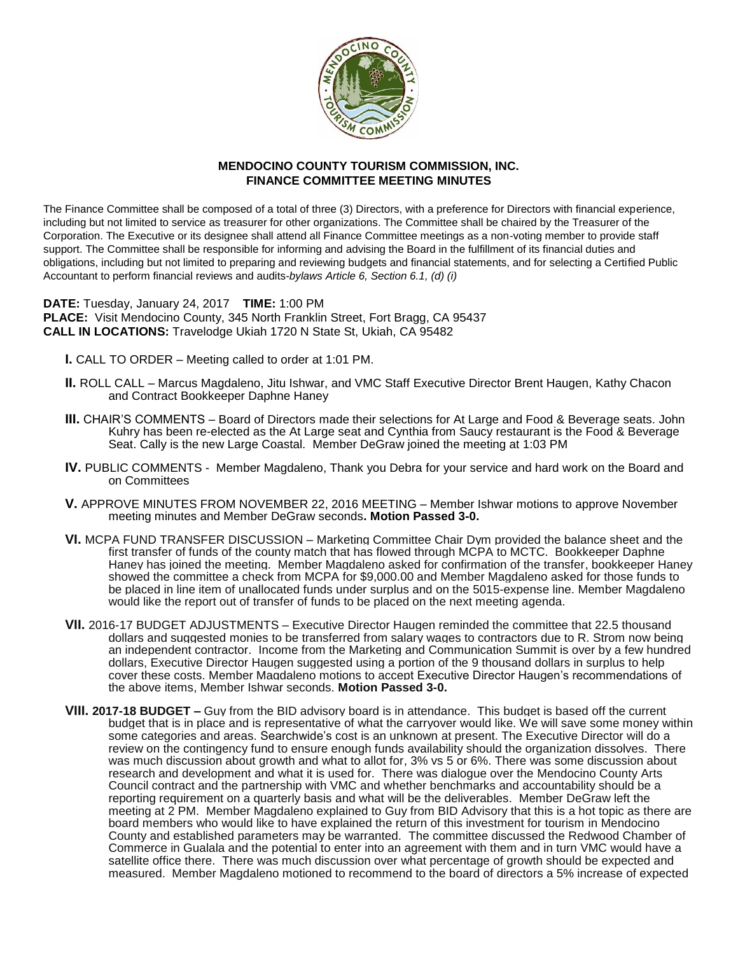

## **MENDOCINO COUNTY TOURISM COMMISSION, INC. FINANCE COMMITTEE MEETING MINUTES**

The Finance Committee shall be composed of a total of three (3) Directors, with a preference for Directors with financial experience, including but not limited to service as treasurer for other organizations. The Committee shall be chaired by the Treasurer of the Corporation. The Executive or its designee shall attend all Finance Committee meetings as a non-voting member to provide staff support. The Committee shall be responsible for informing and advising the Board in the fulfillment of its financial duties and obligations, including but not limited to preparing and reviewing budgets and financial statements, and for selecting a Certified Public Accountant to perform financial reviews and audits-*bylaws Article 6, Section 6.1, (d) (i)*

**DATE:** Tuesday, January 24, 2017 **TIME:** 1:00 PM **PLACE:** Visit Mendocino County, 345 North Franklin Street, Fort Bragg, CA 95437 **CALL IN LOCATIONS:** Travelodge Ukiah 1720 N State St, Ukiah, CA 95482

- **I.** CALL TO ORDER Meeting called to order at 1:01 PM.
- **II.** ROLL CALL Marcus Magdaleno, Jitu Ishwar, and VMC Staff Executive Director Brent Haugen, Kathy Chacon and Contract Bookkeeper Daphne Haney
- **III.** CHAIR'S COMMENTS Board of Directors made their selections for At Large and Food & Beverage seats. John Kuhry has been re-elected as the At Large seat and Cynthia from Saucy restaurant is the Food & Beverage Seat. Cally is the new Large Coastal. Member DeGraw joined the meeting at 1:03 PM
- **IV.** PUBLIC COMMENTS Member Magdaleno, Thank you Debra for your service and hard work on the Board and on Committees
- **V.** APPROVE MINUTES FROM NOVEMBER 22, 2016 MEETING Member Ishwar motions to approve November meeting minutes and Member DeGraw seconds**. Motion Passed 3-0.**
- **VI.** MCPA FUND TRANSFER DISCUSSION Marketing Committee Chair Dym provided the balance sheet and the first transfer of funds of the county match that has flowed through MCPA to MCTC. Bookkeeper Daphne Haney has joined the meeting. Member Magdaleno asked for confirmation of the transfer, bookkeeper Haney showed the committee a check from MCPA for \$9,000.00 and Member Magdaleno asked for those funds to be placed in line item of unallocated funds under surplus and on the 5015-expense line. Member Magdaleno would like the report out of transfer of funds to be placed on the next meeting agenda.
- **VII.** 2016-17 BUDGET ADJUSTMENTS Executive Director Haugen reminded the committee that 22.5 thousand dollars and suggested monies to be transferred from salary wages to contractors due to R. Strom now being an independent contractor. Income from the Marketing and Communication Summit is over by a few hundred dollars, Executive Director Haugen suggested using a portion of the 9 thousand dollars in surplus to help cover these costs. Member Magdaleno motions to accept Executive Director Haugen's recommendations of the above items, Member Ishwar seconds. **Motion Passed 3-0.**
- **VIII. 2017-18 BUDGET –** Guy from the BID advisory board is in attendance. This budget is based off the current budget that is in place and is representative of what the carryover would like. We will save some money within some categories and areas. Searchwide's cost is an unknown at present. The Executive Director will do a review on the contingency fund to ensure enough funds availability should the organization dissolves. There was much discussion about growth and what to allot for, 3% vs 5 or 6%. There was some discussion about research and development and what it is used for. There was dialogue over the Mendocino County Arts Council contract and the partnership with VMC and whether benchmarks and accountability should be a reporting requirement on a quarterly basis and what will be the deliverables. Member DeGraw left the meeting at 2 PM. Member Magdaleno explained to Guy from BID Advisory that this is a hot topic as there are board members who would like to have explained the return of this investment for tourism in Mendocino County and established parameters may be warranted. The committee discussed the Redwood Chamber of Commerce in Gualala and the potential to enter into an agreement with them and in turn VMC would have a satellite office there. There was much discussion over what percentage of growth should be expected and measured. Member Magdaleno motioned to recommend to the board of directors a 5% increase of expected